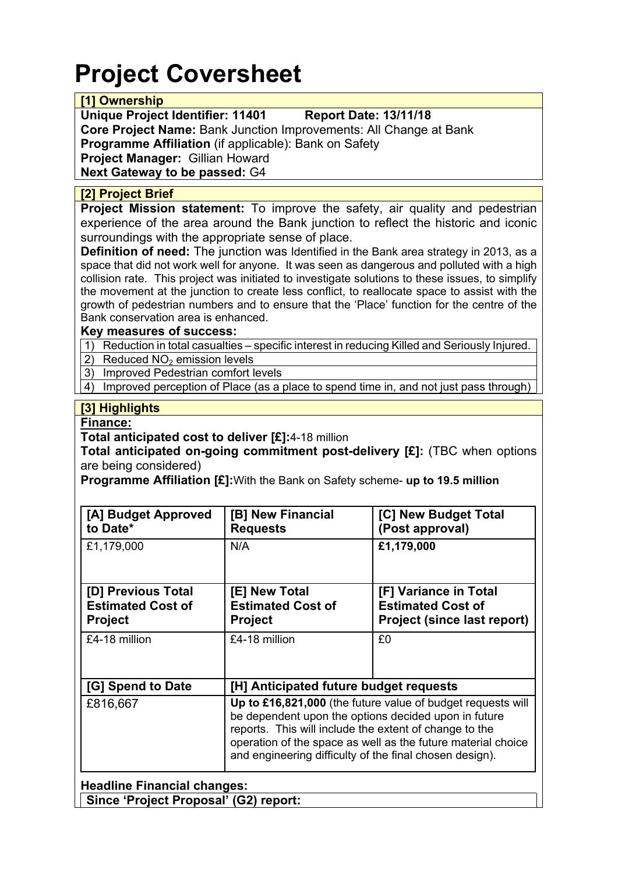# **Project Coversheet**

### **[1] Ownership**

**Unique Project Identifier: 11401 Report Date: 13/11/18**

**Core Project Name:** Bank Junction Improvements: All Change at Bank **Programme Affiliation** (if applicable): Bank on Safety **Project Manager:** Gillian Howard **Next Gateway to be passed:** G4

## **[2] Project Brief**

**Project Mission statement:** To improve the safety, air quality and pedestrian experience of the area around the Bank junction to reflect the historic and iconic surroundings with the appropriate sense of place.

**Definition of need:** The junction was Identified in the Bank area strategy in 2013, as a space that did not work well for anyone. It was seen as dangerous and polluted with a high collision rate. This project was initiated to investigate solutions to these issues, to simplify the movement at the junction to create less conflict, to reallocate space to assist with the growth of pedestrian numbers and to ensure that the 'Place' function for the centre of the Bank conservation area is enhanced.

#### **Key measures of success:**

1) Reduction in total casualties – specific interest in reducing Killed and Seriously Injured.

2) Reduced  $NO<sub>2</sub>$  emission levels

3) Improved Pedestrian comfort levels

4) Improved perception of Place (as a place to spend time in, and not just pass through)

# **[3] Highlights**

#### **Finance:**

**Total anticipated cost to deliver [£]:**4-18 million

**Total anticipated on-going commitment post-delivery [£]:** (TBC when options are being considered)

**Programme Affiliation [£]:**With the Bank on Safety scheme- **up to 19.5 million**

| [A] Budget Approved<br>to Date*                                             | [B] New Financial<br><b>Requests</b>                                                                                                                                                                                                                                                                     | [C] New Budget Total<br>(Post approval)                                                 |  |  |
|-----------------------------------------------------------------------------|----------------------------------------------------------------------------------------------------------------------------------------------------------------------------------------------------------------------------------------------------------------------------------------------------------|-----------------------------------------------------------------------------------------|--|--|
| £1,179,000                                                                  | N/A                                                                                                                                                                                                                                                                                                      | £1,179,000                                                                              |  |  |
| [D] Previous Total<br><b>Estimated Cost of</b><br><b>Project</b>            | [E] New Total<br><b>Estimated Cost of</b><br><b>Project</b>                                                                                                                                                                                                                                              | [F] Variance in Total<br><b>Estimated Cost of</b><br><b>Project (since last report)</b> |  |  |
| £4-18 million                                                               | £4-18 million                                                                                                                                                                                                                                                                                            | £0                                                                                      |  |  |
| [G] Spend to Date                                                           | [H] Anticipated future budget requests                                                                                                                                                                                                                                                                   |                                                                                         |  |  |
| £816,667                                                                    | Up to £16,821,000 (the future value of budget requests will<br>be dependent upon the options decided upon in future<br>reports. This will include the extent of change to the<br>operation of the space as well as the future material choice<br>and engineering difficulty of the final chosen design). |                                                                                         |  |  |
| <b>Headline Financial changes:</b><br>Since 'Project Proposal' (G2) report: |                                                                                                                                                                                                                                                                                                          |                                                                                         |  |  |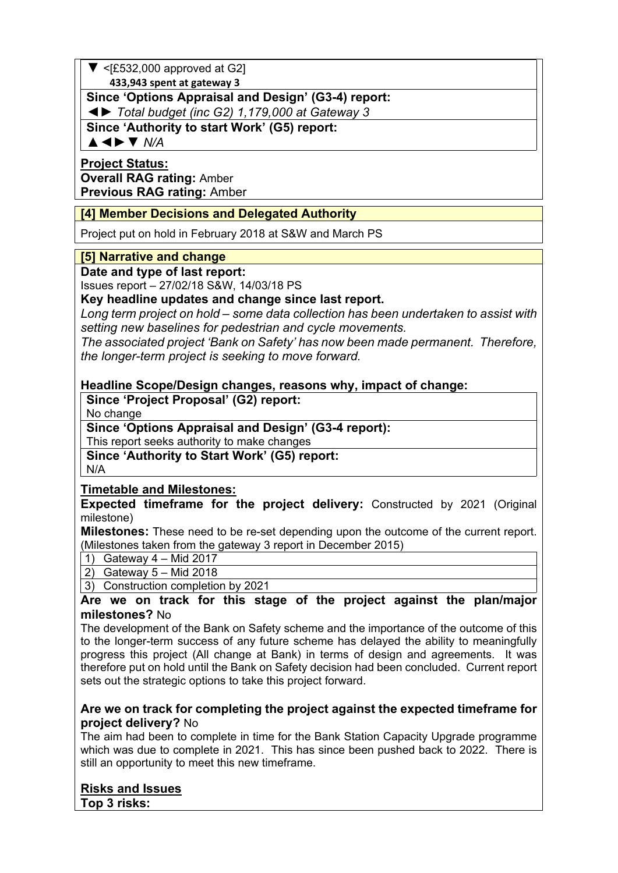# $\blacktriangledown$  <[£532,000 approved at G2]

 **433,943 spent at gateway 3**

# **Since 'Options Appraisal and Design' (G3-4) report:**

◄► *Total budget (inc G2) 1,179,000 at Gateway 3*

**Since 'Authority to start Work' (G5) report:**

▲◄►▼ *N/A*

#### **Project Status: Overall RAG rating:** Amber **Previous RAG rating:** Amber

# **[4] Member Decisions and Delegated Authority**

Project put on hold in February 2018 at S&W and March PS

### **[5] Narrative and change**

**Date and type of last report:**

Issues report – 27/02/18 S&W, 14/03/18 PS

**Key headline updates and change since last report.**

*Long term project on hold – some data collection has been undertaken to assist with setting new baselines for pedestrian and cycle movements.*

*The associated project 'Bank on Safety' has now been made permanent. Therefore, the longer-term project is seeking to move forward.*

#### **Headline Scope/Design changes, reasons why, impact of change:**

**Since 'Project Proposal' (G2) report:** No change

#### **Since 'Options Appraisal and Design' (G3-4 report):**

This report seeks authority to make changes

**Since 'Authority to Start Work' (G5) report:** N/A

#### **Timetable and Milestones:**

**Expected timeframe for the project delivery:** Constructed by 2021 (Original milestone)

**Milestones:** These need to be re-set depending upon the outcome of the current report. (Milestones taken from the gateway 3 report in December 2015)

1) Gateway 4 – Mid 2017

2) Gateway 5 – Mid 2018

3) Construction completion by 2021

### **Are we on track for this stage of the project against the plan/major milestones?** No

The development of the Bank on Safety scheme and the importance of the outcome of this to the longer-term success of any future scheme has delayed the ability to meaningfully progress this project (All change at Bank) in terms of design and agreements. It was therefore put on hold until the Bank on Safety decision had been concluded. Current report sets out the strategic options to take this project forward.

#### **Are we on track for completing the project against the expected timeframe for project delivery?** No

The aim had been to complete in time for the Bank Station Capacity Upgrade programme which was due to complete in 2021. This has since been pushed back to 2022. There is still an opportunity to meet this new timeframe.

#### **Risks and Issues Top 3 risks:**